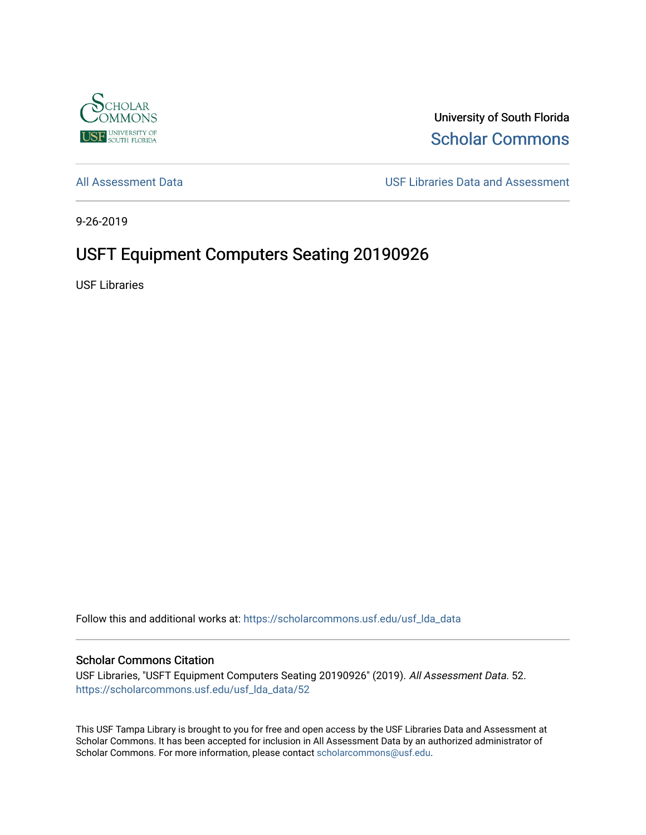

University of South Florida [Scholar Commons](https://scholarcommons.usf.edu/) 

[All Assessment Data](https://scholarcommons.usf.edu/usf_lda_data) [USF Libraries Data and Assessment](https://scholarcommons.usf.edu/usf_lda) 

9-26-2019

# USFT Equipment Computers Seating 20190926

USF Libraries

Follow this and additional works at: [https://scholarcommons.usf.edu/usf\\_lda\\_data](https://scholarcommons.usf.edu/usf_lda_data?utm_source=scholarcommons.usf.edu%2Fusf_lda_data%2F52&utm_medium=PDF&utm_campaign=PDFCoverPages)

#### Scholar Commons Citation

USF Libraries, "USFT Equipment Computers Seating 20190926" (2019). All Assessment Data. 52. [https://scholarcommons.usf.edu/usf\\_lda\\_data/52](https://scholarcommons.usf.edu/usf_lda_data/52?utm_source=scholarcommons.usf.edu%2Fusf_lda_data%2F52&utm_medium=PDF&utm_campaign=PDFCoverPages) 

This USF Tampa Library is brought to you for free and open access by the USF Libraries Data and Assessment at Scholar Commons. It has been accepted for inclusion in All Assessment Data by an authorized administrator of Scholar Commons. For more information, please contact [scholarcommons@usf.edu](mailto:scholarcommons@usf.edu).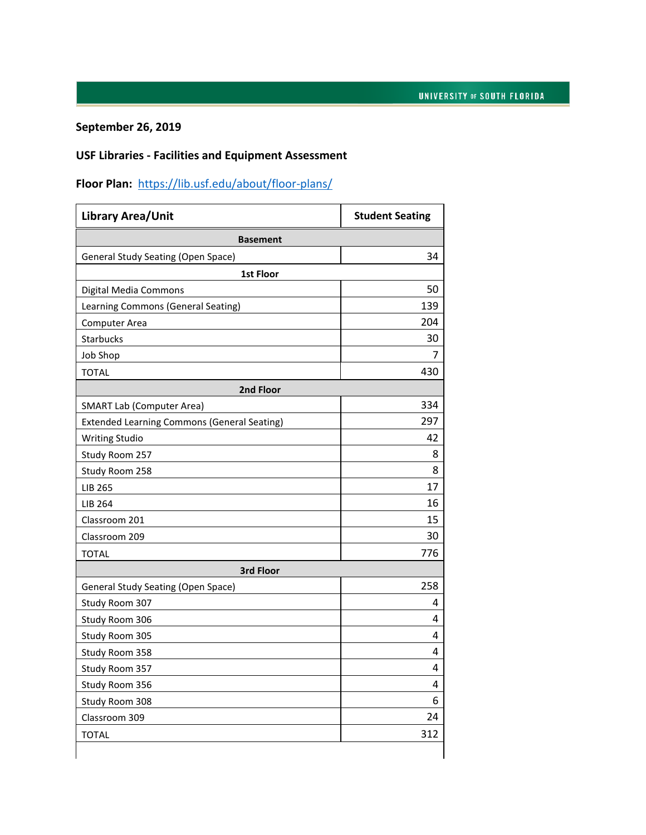### **September 26, 2019**

# **USF Libraries - Facilities and Equipment Assessment**

# **Floor Plan:** <https://lib.usf.edu/about/floor-plans/>

| <b>Library Area/Unit</b>                           | <b>Student Seating</b> |  |
|----------------------------------------------------|------------------------|--|
| <b>Basement</b>                                    |                        |  |
| <b>General Study Seating (Open Space)</b>          | 34                     |  |
| 1st Floor                                          |                        |  |
| Digital Media Commons                              | 50                     |  |
| Learning Commons (General Seating)                 | 139                    |  |
| <b>Computer Area</b>                               | 204                    |  |
| <b>Starbucks</b>                                   | 30                     |  |
| <b>Job Shop</b>                                    | 7                      |  |
| <b>TOTAL</b>                                       | 430                    |  |
| 2nd Floor                                          |                        |  |
| <b>SMART Lab (Computer Area)</b>                   | 334                    |  |
| <b>Extended Learning Commons (General Seating)</b> | 297                    |  |
| <b>Writing Studio</b>                              | 42                     |  |
| Study Room 257                                     | 8                      |  |
| Study Room 258                                     | 8                      |  |
| <b>LIB 265</b>                                     | 17                     |  |
| LIB 264                                            | 16                     |  |
| Classroom 201                                      | 15                     |  |
| Classroom 209                                      | 30                     |  |
| <b>TOTAL</b>                                       | 776                    |  |
| 3rd Floor                                          |                        |  |
| <b>General Study Seating (Open Space)</b>          | 258                    |  |
| Study Room 307                                     | 4                      |  |
| Study Room 306                                     | 4                      |  |
| Study Room 305                                     | 4                      |  |
| Study Room 358                                     | 4                      |  |
| Study Room 357                                     | 4                      |  |
| Study Room 356                                     | 4                      |  |
| Study Room 308                                     | 6                      |  |
| Classroom 309                                      | 24                     |  |
| <b>TOTAL</b>                                       | 312                    |  |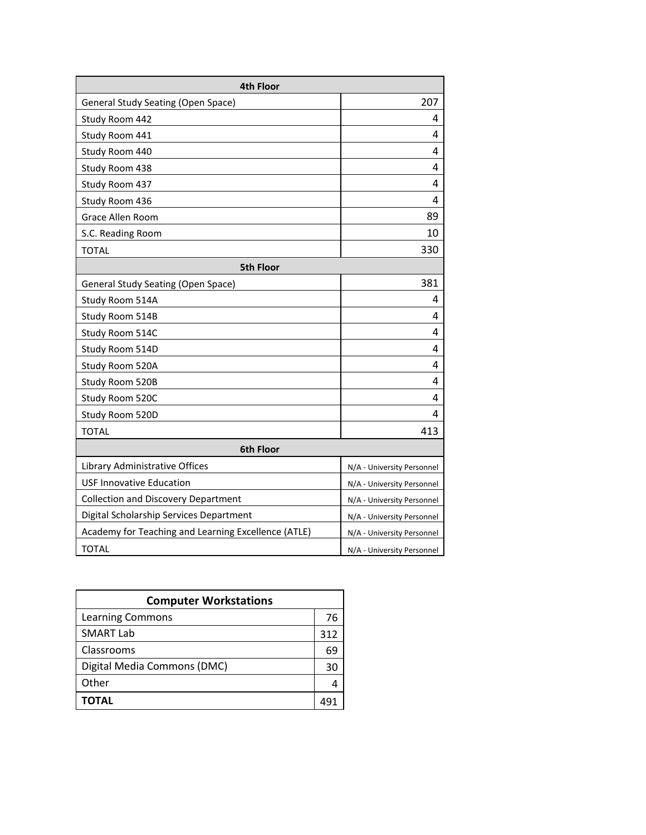| 4th Floor                                           |                            |  |
|-----------------------------------------------------|----------------------------|--|
| <b>General Study Seating (Open Space)</b>           | 207                        |  |
| Study Room 442                                      | 4                          |  |
| Study Room 441                                      | 4                          |  |
| Study Room 440                                      | 4                          |  |
| Study Room 438                                      | 4                          |  |
| Study Room 437                                      | 4                          |  |
| Study Room 436                                      | 4                          |  |
| Grace Allen Room                                    | 89                         |  |
| S.C. Reading Room                                   | 10                         |  |
| <b>TOTAL</b>                                        | 330                        |  |
| <b>5th Floor</b>                                    |                            |  |
| <b>General Study Seating (Open Space)</b>           | 381                        |  |
| Study Room 514A                                     | 4                          |  |
| Study Room 514B                                     | 4                          |  |
| Study Room 514C                                     | 4                          |  |
| Study Room 514D                                     | 4                          |  |
| Study Room 520A                                     | 4                          |  |
| Study Room 520B                                     | 4                          |  |
| Study Room 520C                                     | 4                          |  |
| Study Room 520D                                     | 4                          |  |
| <b>TOTAL</b>                                        | 413                        |  |
| 6th Floor                                           |                            |  |
| Library Administrative Offices                      | N/A - University Personnel |  |
| <b>USF Innovative Education</b>                     | N/A - University Personnel |  |
| <b>Collection and Discovery Department</b>          | N/A - University Personnel |  |
| Digital Scholarship Services Department             | N/A - University Personnel |  |
| Academy for Teaching and Learning Excellence (ATLE) | N/A - University Personnel |  |
| <b>TOTAL</b>                                        | N/A - University Personnel |  |

| <b>Computer Workstations</b> |     |
|------------------------------|-----|
| <b>Learning Commons</b>      | 76  |
| <b>SMART Lab</b>             | 312 |
| Classrooms                   | 69  |
| Digital Media Commons (DMC)  | 30  |
| Other                        |     |
| ΤΟΤΑL                        |     |